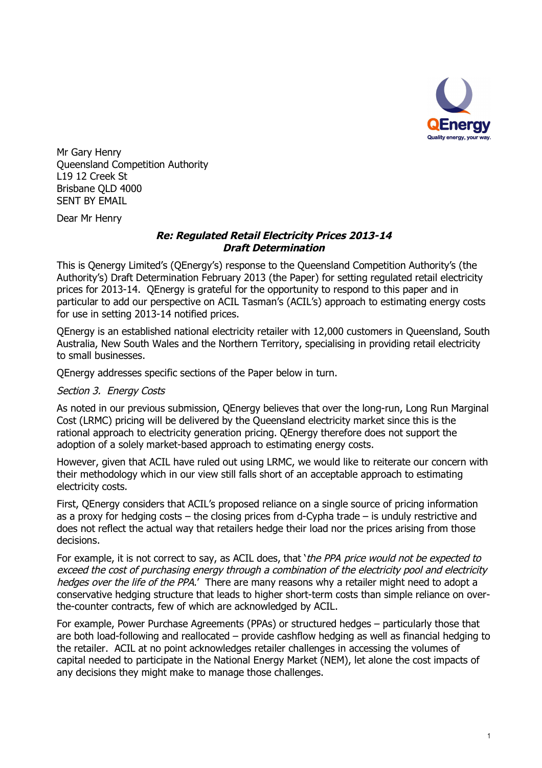

Mr Gary Henry Queensland Competition Authority L19 12 Creek St Brisbane QLD 4000 SENT BY EMAIL

Dear Mr Henry

## *Re: Regulated Retail Electricity Prices 2013-14 Draft Determination*

This is Qenergy Limited's (QEnergy's) response to the Queensland Competition Authority's (the Authority's) Draft Determination February 2013 (the Paper) for setting regulated retail electricity prices for 2013-14. QEnergy is grateful for the opportunity to respond to this paper and in particular to add our perspective on ACIL Tasman's (ACIL's) approach to estimating energy costs for use in setting 2013-14 notified prices.

QEnergy is an established national electricity retailer with 12,000 customers in Queensland, South Australia, New South Wales and the Northern Territory, specialising in providing retail electricity to small businesses.

QEnergy addresses specific sections of the Paper below in turn.

## *Section 3. Energy Costs*

As noted in our previous submission, QEnergy believes that over the long-run, Long Run Marginal Cost (LRMC) pricing will be delivered by the Queensland electricity market since this is the rational approach to electricity generation pricing. QEnergy therefore does not support the adoption of a solely market-based approach to estimating energy costs.

However, given that ACIL have ruled out using LRMC, we would like to reiterate our concern with their methodology which in our view still falls short of an acceptable approach to estimating electricity costs.

First, QEnergy considers that ACIL's proposed reliance on a single source of pricing information as a proxy for hedging costs – the closing prices from d-Cypha trade – is unduly restrictive and does not reflect the actual way that retailers hedge their load nor the prices arising from those decisions.

For example, it is not correct to say, as ACIL does, that '*the PPA price would not be expected to exceed the cost of purchasing energy through a combination of the electricity pool and electricity hedges over the life of the PPA*.' There are many reasons why a retailer might need to adopt a conservative hedging structure that leads to higher short-term costs than simple reliance on overthe-counter contracts, few of which are acknowledged by ACIL.

For example, Power Purchase Agreements (PPAs) or structured hedges – particularly those that are both load-following and reallocated – provide cashflow hedging as well as financial hedging to the retailer. ACIL at no point acknowledges retailer challenges in accessing the volumes of capital needed to participate in the National Energy Market (NEM), let alone the cost impacts of any decisions they might make to manage those challenges.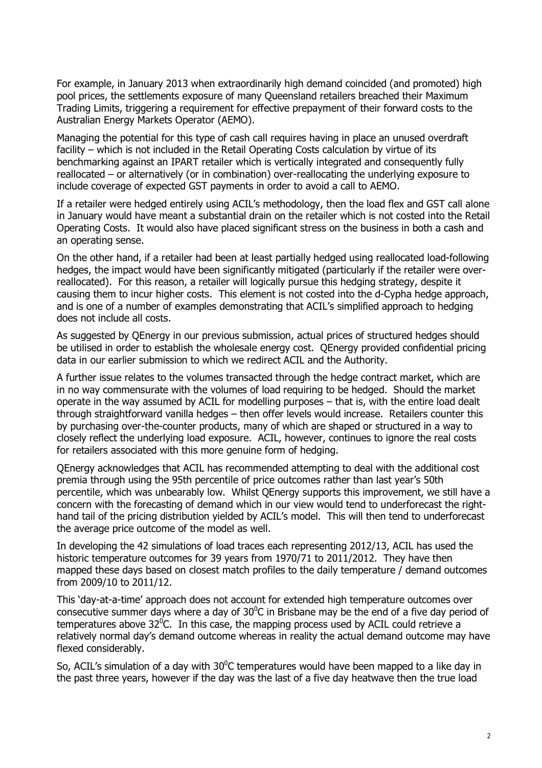For example, in January 2013 when extraordinarily high demand coincided (and promoted) high pool prices, the settlements exposure of many Queensland retailers breached their Maximum Trading Limits, triggering a requirement for effective prepayment of their forward costs to the Australian Energy Markets Operator (AEMO).

Managing the potential for this type of cash call requires having in place an unused overdraft facility – which is not included in the Retail Operating Costs calculation by virtue of its benchmarking against an IPART retailer which is vertically integrated and consequently fully reallocated – or alternatively (or in combination) over-reallocating the underlying exposure to include coverage of expected GST payments in order to avoid a call to AEMO.

If a retailer were hedged entirely using ACIL's methodology, then the load flex and GST call alone in January would have meant a substantial drain on the retailer which is not costed into the Retail Operating Costs. It would also have placed significant stress on the business in both a cash and an operating sense.

On the other hand, if a retailer had been at least partially hedged using reallocated load-following hedges, the impact would have been significantly mitigated (particularly if the retailer were overreallocated). For this reason, a retailer will logically pursue this hedging strategy, despite it causing them to incur higher costs. This element is not costed into the d-Cypha hedge approach, and is one of a number of examples demonstrating that ACIL's simplified approach to hedging does not include all costs.

As suggested by QEnergy in our previous submission, actual prices of structured hedges should be utilised in order to establish the wholesale energy cost. QEnergy provided confidential pricing data in our earlier submission to which we redirect ACIL and the Authority.

A further issue relates to the volumes transacted through the hedge contract market, which are in no way commensurate with the volumes of load requiring to be hedged. Should the market operate in the way assumed by ACIL for modelling purposes – that is, with the entire load dealt through straightforward vanilla hedges – then offer levels would increase. Retailers counter this by purchasing over-the-counter products, many of which are shaped or structured in a way to closely reflect the underlying load exposure. ACIL, however, continues to ignore the real costs for retailers associated with this more genuine form of hedging.

QEnergy acknowledges that ACIL has recommended attempting to deal with the additional cost premia through using the 95th percentile of price outcomes rather than last year's 50th percentile, which was unbearably low. Whilst QEnergy supports this improvement, we still have a concern with the forecasting of demand which in our view would tend to underforecast the righthand tail of the pricing distribution yielded by ACIL's model. This will then tend to underforecast the average price outcome of the model as well.

In developing the 42 simulations of load traces each representing 2012/13, ACIL has used the historic temperature outcomes for 39 years from 1970/71 to 2011/2012. They have then mapped these days based on closest match profiles to the daily temperature / demand outcomes from 2009/10 to 2011/12.

This 'day-at-a-time' approach does not account for extended high temperature outcomes over consecutive summer days where a day of  $30^0$ C in Brisbane may be the end of a five day period of temperatures above 32 $^0$ C. In this case, the mapping process used by ACIL could retrieve a relatively normal day's demand outcome whereas in reality the actual demand outcome may have flexed considerably.

So, ACIL's simulation of a day with  $30^{\circ}$ C temperatures would have been mapped to a like day in the past three years, however if the day was the last of a five day heatwave then the true load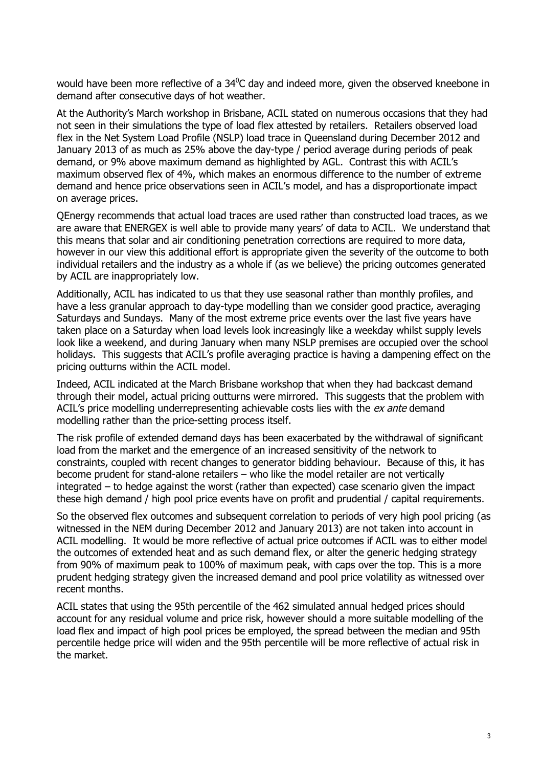would have been more reflective of a  $34^0C$  day and indeed more, given the observed kneebone in demand after consecutive days of hot weather.

At the Authority's March workshop in Brisbane, ACIL stated on numerous occasions that they had not seen in their simulations the type of load flex attested by retailers. Retailers observed load flex in the Net System Load Profile (NSLP) load trace in Queensland during December 2012 and January 2013 of as much as 25% above the day-type / period average during periods of peak demand, or 9% above maximum demand as highlighted by AGL. Contrast this with ACIL's maximum observed flex of 4%, which makes an enormous difference to the number of extreme demand and hence price observations seen in ACIL's model, and has a disproportionate impact on average prices.

QEnergy recommends that actual load traces are used rather than constructed load traces, as we are aware that ENERGEX is well able to provide many years' of data to ACIL. We understand that this means that solar and air conditioning penetration corrections are required to more data, however in our view this additional effort is appropriate given the severity of the outcome to both individual retailers and the industry as a whole if (as we believe) the pricing outcomes generated by ACIL are inappropriately low.

Additionally, ACIL has indicated to us that they use seasonal rather than monthly profiles, and have a less granular approach to day-type modelling than we consider good practice, averaging Saturdays and Sundays. Many of the most extreme price events over the last five years have taken place on a Saturday when load levels look increasingly like a weekday whilst supply levels look like a weekend, and during January when many NSLP premises are occupied over the school holidays. This suggests that ACIL's profile averaging practice is having a dampening effect on the pricing outturns within the ACIL model.

Indeed, ACIL indicated at the March Brisbane workshop that when they had backcast demand through their model, actual pricing outturns were mirrored. This suggests that the problem with ACIL's price modelling underrepresenting achievable costs lies with the *ex ante* demand modelling rather than the price-setting process itself.

The risk profile of extended demand days has been exacerbated by the withdrawal of significant load from the market and the emergence of an increased sensitivity of the network to constraints, coupled with recent changes to generator bidding behaviour. Because of this, it has become prudent for stand-alone retailers – who like the model retailer are not vertically integrated – to hedge against the worst (rather than expected) case scenario given the impact these high demand / high pool price events have on profit and prudential / capital requirements.

So the observed flex outcomes and subsequent correlation to periods of very high pool pricing (as witnessed in the NEM during December 2012 and January 2013) are not taken into account in ACIL modelling. It would be more reflective of actual price outcomes if ACIL was to either model the outcomes of extended heat and as such demand flex, or alter the generic hedging strategy from 90% of maximum peak to 100% of maximum peak, with caps over the top. This is a more prudent hedging strategy given the increased demand and pool price volatility as witnessed over recent months.

ACIL states that using the 95th percentile of the 462 simulated annual hedged prices should account for any residual volume and price risk, however should a more suitable modelling of the load flex and impact of high pool prices be employed, the spread between the median and 95th percentile hedge price will widen and the 95th percentile will be more reflective of actual risk in the market.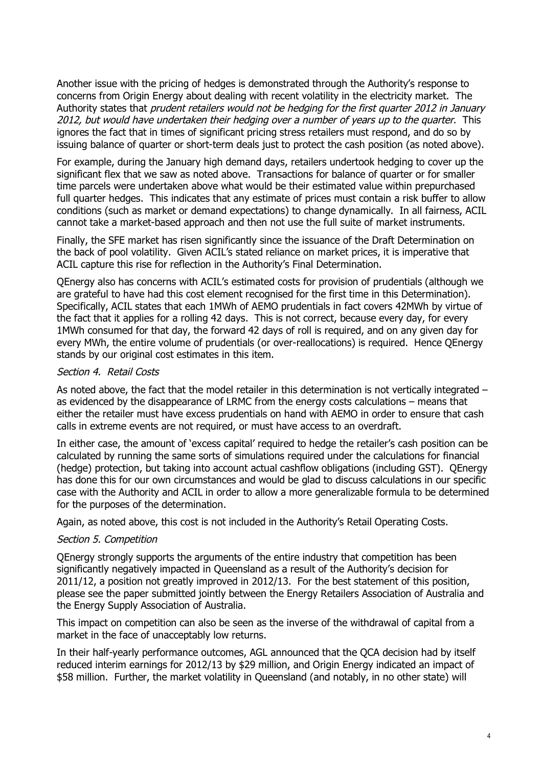Another issue with the pricing of hedges is demonstrated through the Authority's response to concerns from Origin Energy about dealing with recent volatility in the electricity market. The Authority states that *prudent retailers would not be hedging for the first quarter 2012 in January 2012, but would have undertaken their hedging over a number of years up to the quarter*. This ignores the fact that in times of significant pricing stress retailers must respond, and do so by issuing balance of quarter or short-term deals just to protect the cash position (as noted above).

For example, during the January high demand days, retailers undertook hedging to cover up the significant flex that we saw as noted above. Transactions for balance of quarter or for smaller time parcels were undertaken above what would be their estimated value within prepurchased full quarter hedges. This indicates that any estimate of prices must contain a risk buffer to allow conditions (such as market or demand expectations) to change dynamically. In all fairness, ACIL cannot take a market-based approach and then not use the full suite of market instruments.

Finally, the SFE market has risen significantly since the issuance of the Draft Determination on the back of pool volatility. Given ACIL's stated reliance on market prices, it is imperative that ACIL capture this rise for reflection in the Authority's Final Determination.

QEnergy also has concerns with ACIL's estimated costs for provision of prudentials (although we are grateful to have had this cost element recognised for the first time in this Determination). Specifically, ACIL states that each 1MWh of AEMO prudentials in fact covers 42MWh by virtue of the fact that it applies for a rolling 42 days. This is not correct, because every day, for every 1MWh consumed for that day, the forward 42 days of roll is required, and on any given day for every MWh, the entire volume of prudentials (or over-reallocations) is required. Hence QEnergy stands by our original cost estimates in this item.

## *Section 4. Retail Costs*

As noted above, the fact that the model retailer in this determination is not vertically integrated – as evidenced by the disappearance of LRMC from the energy costs calculations – means that either the retailer must have excess prudentials on hand with AEMO in order to ensure that cash calls in extreme events are not required, or must have access to an overdraft.

In either case, the amount of 'excess capital' required to hedge the retailer's cash position can be calculated by running the same sorts of simulations required under the calculations for financial (hedge) protection, but taking into account actual cashflow obligations (including GST). QEnergy has done this for our own circumstances and would be glad to discuss calculations in our specific case with the Authority and ACIL in order to allow a more generalizable formula to be determined for the purposes of the determination.

Again, as noted above, this cost is not included in the Authority's Retail Operating Costs.

## *Section 5. Competition*

QEnergy strongly supports the arguments of the entire industry that competition has been significantly negatively impacted in Queensland as a result of the Authority's decision for 2011/12, a position not greatly improved in 2012/13. For the best statement of this position, please see the paper submitted jointly between the Energy Retailers Association of Australia and the Energy Supply Association of Australia.

This impact on competition can also be seen as the inverse of the withdrawal of capital from a market in the face of unacceptably low returns.

In their half-yearly performance outcomes, AGL announced that the QCA decision had by itself reduced interim earnings for 2012/13 by \$29 million, and Origin Energy indicated an impact of \$58 million. Further, the market volatility in Queensland (and notably, in no other state) will